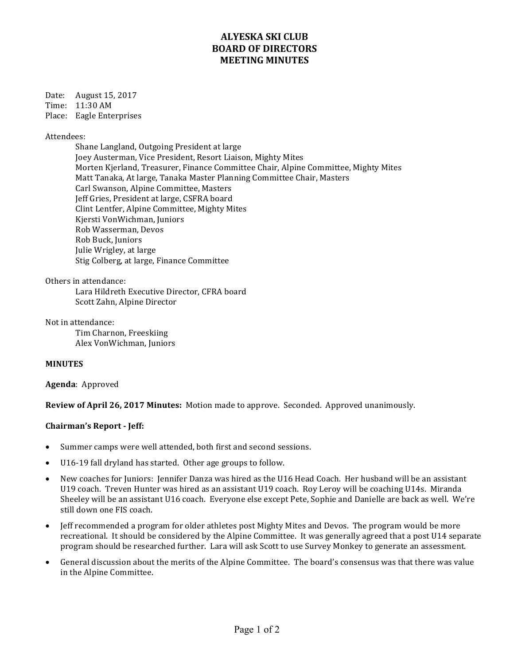# **ALYESKA SKI CLUB BOARD OF DIRECTORS MEETING MINUTES**

Date: August 15, 2017 Time: 11:30 AM Place: Eagle Enterprises

Attendees:

Shane Langland, Outgoing President at large Joey Austerman, Vice President, Resort Liaison, Mighty Mites Morten Kjerland, Treasurer, Finance Committee Chair, Alpine Committee, Mighty Mites Matt Tanaka, At large, Tanaka Master Planning Committee Chair, Masters Carl Swanson, Alpine Committee, Masters Jeff Gries, President at large, CSFRA board Clint Lentfer, Alpine Committee, Mighty Mites Kiersti VonWichman, Juniors Rob Wasserman, Devos Rob Buck, Juniors Julie Wrigley, at large Stig Colberg, at large, Finance Committee

Others in attendance:

Lara Hildreth Executive Director, CFRA board Scott Zahn, Alpine Director

Not in attendance:

Tim Charnon, Freeskiing Alex VonWichman, Juniors

## **MINUTES**

Agenda: Approved

**Review of April 26, 2017 Minutes:** Motion made to approve. Seconded. Approved unanimously.

### **Chairman's Report - Jeff:**

- Summer camps were well attended, both first and second sessions.
- U16-19 fall dryland has started. Other age groups to follow.
- New coaches for Juniors: Jennifer Danza was hired as the U16 Head Coach. Her husband will be an assistant U19 coach. Treven Hunter was hired as an assistant U19 coach. Roy Leroy will be coaching U14s. Miranda Sheeley will be an assistant U16 coach. Everyone else except Pete, Sophie and Danielle are back as well. We're still down one FIS coach.
- Jeff recommended a program for older athletes post Mighty Mites and Devos. The program would be more recreational. It should be considered by the Alpine Committee. It was generally agreed that a post U14 separate program should be researched further. Lara will ask Scott to use Survey Monkey to generate an assessment.
- General discussion about the merits of the Alpine Committee. The board's consensus was that there was value in the Alpine Committee.